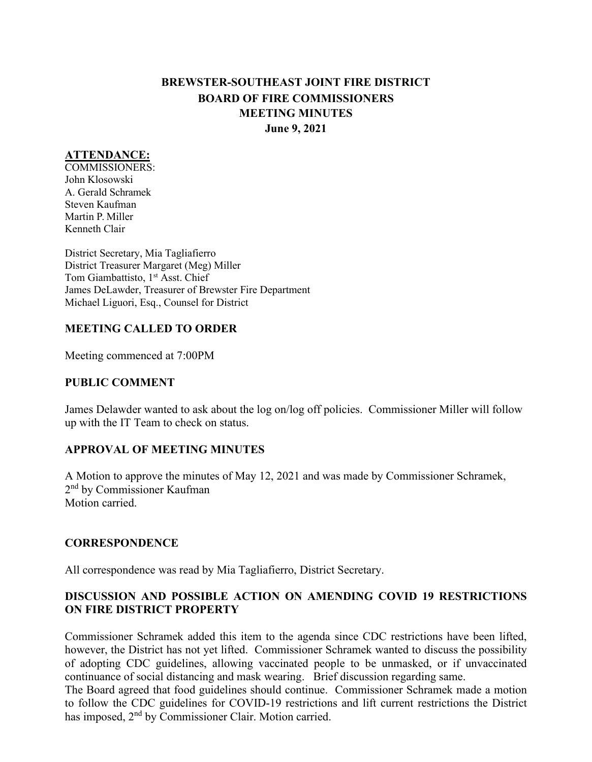# **BREWSTER-SOUTHEAST JOINT FIRE DISTRICT BOARD OF FIRE COMMISSIONERS MEETING MINUTES June 9, 2021**

#### **ATTENDANCE:**

COMMISSIONERS: John Klosowski A. Gerald Schramek Steven Kaufman Martin P. Miller Kenneth Clair

District Secretary, Mia Tagliafierro District Treasurer Margaret (Meg) Miller Tom Giambattisto, 1<sup>st</sup> Asst. Chief James DeLawder, Treasurer of Brewster Fire Department Michael Liguori, Esq., Counsel for District

#### **MEETING CALLED TO ORDER**

Meeting commenced at 7:00PM

#### **PUBLIC COMMENT**

James Delawder wanted to ask about the log on/log off policies. Commissioner Miller will follow up with the IT Team to check on status.

### **APPROVAL OF MEETING MINUTES**

A Motion to approve the minutes of May 12, 2021 and was made by Commissioner Schramek, 2nd by Commissioner Kaufman Motion carried.

#### **CORRESPONDENCE**

All correspondence was read by Mia Tagliafierro, District Secretary.

### **DISCUSSION AND POSSIBLE ACTION ON AMENDING COVID 19 RESTRICTIONS ON FIRE DISTRICT PROPERTY**

Commissioner Schramek added this item to the agenda since CDC restrictions have been lifted, however, the District has not yet lifted. Commissioner Schramek wanted to discuss the possibility of adopting CDC guidelines, allowing vaccinated people to be unmasked, or if unvaccinated continuance of social distancing and mask wearing. Brief discussion regarding same.

The Board agreed that food guidelines should continue. Commissioner Schramek made a motion to follow the CDC guidelines for COVID-19 restrictions and lift current restrictions the District has imposed, 2nd by Commissioner Clair. Motion carried.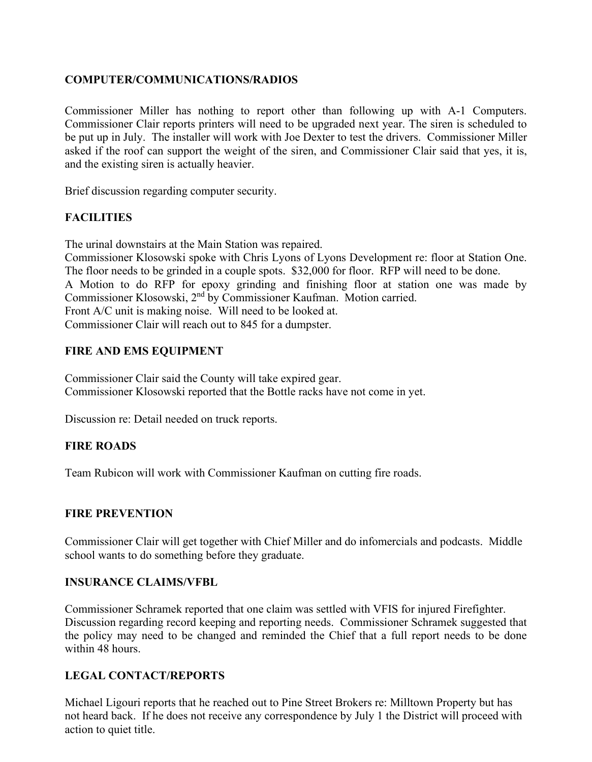### **COMPUTER/COMMUNICATIONS/RADIOS**

Commissioner Miller has nothing to report other than following up with A-1 Computers. Commissioner Clair reports printers will need to be upgraded next year. The siren is scheduled to be put up in July. The installer will work with Joe Dexter to test the drivers. Commissioner Miller asked if the roof can support the weight of the siren, and Commissioner Clair said that yes, it is, and the existing siren is actually heavier.

Brief discussion regarding computer security.

# **FACILITIES**

The urinal downstairs at the Main Station was repaired.

Commissioner Klosowski spoke with Chris Lyons of Lyons Development re: floor at Station One. The floor needs to be grinded in a couple spots. \$32,000 for floor. RFP will need to be done. A Motion to do RFP for epoxy grinding and finishing floor at station one was made by Commissioner Klosowski, 2nd by Commissioner Kaufman. Motion carried. Front A/C unit is making noise. Will need to be looked at. Commissioner Clair will reach out to 845 for a dumpster.

### **FIRE AND EMS EQUIPMENT**

Commissioner Clair said the County will take expired gear. Commissioner Klosowski reported that the Bottle racks have not come in yet.

Discussion re: Detail needed on truck reports.

# **FIRE ROADS**

Team Rubicon will work with Commissioner Kaufman on cutting fire roads.

### **FIRE PREVENTION**

Commissioner Clair will get together with Chief Miller and do infomercials and podcasts. Middle school wants to do something before they graduate.

### **INSURANCE CLAIMS/VFBL**

Commissioner Schramek reported that one claim was settled with VFIS for injured Firefighter. Discussion regarding record keeping and reporting needs. Commissioner Schramek suggested that the policy may need to be changed and reminded the Chief that a full report needs to be done within 48 hours.

# **LEGAL CONTACT/REPORTS**

Michael Ligouri reports that he reached out to Pine Street Brokers re: Milltown Property but has not heard back. If he does not receive any correspondence by July 1 the District will proceed with action to quiet title.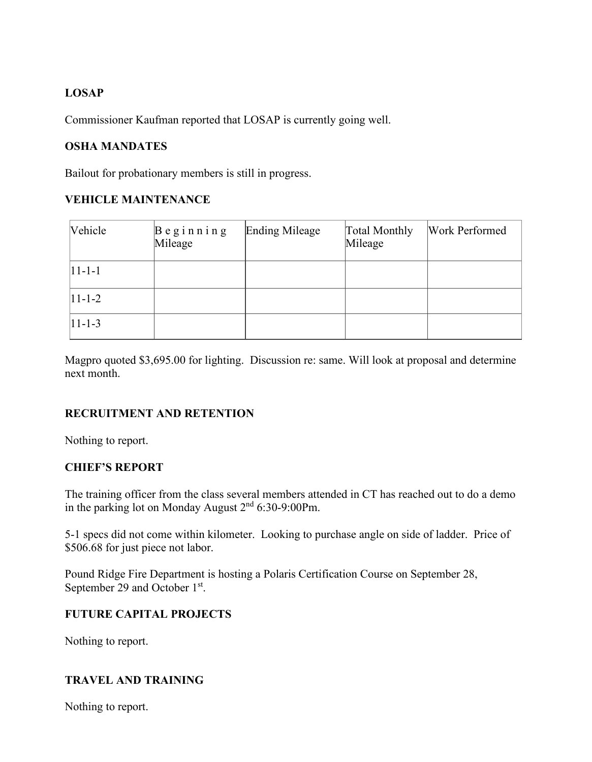# **LOSAP**

Commissioner Kaufman reported that LOSAP is currently going well.

# **OSHA MANDATES**

Bailout for probationary members is still in progress.

# **VEHICLE MAINTENANCE**

| Vehicle        | $\beta$ eginning<br>Mileage | Ending Mileage | Total Monthly<br>Mileage | Work Performed |
|----------------|-----------------------------|----------------|--------------------------|----------------|
| $ 11 - 1 - 1 $ |                             |                |                          |                |
| $ 11 - 1 - 2 $ |                             |                |                          |                |
| $ 11-1-3 $     |                             |                |                          |                |

Magpro quoted \$3,695.00 for lighting. Discussion re: same. Will look at proposal and determine next month.

# **RECRUITMENT AND RETENTION**

Nothing to report.

# **CHIEF'S REPORT**

The training officer from the class several members attended in CT has reached out to do a demo in the parking lot on Monday August 2nd 6:30-9:00Pm.

5-1 specs did not come within kilometer. Looking to purchase angle on side of ladder. Price of \$506.68 for just piece not labor.

Pound Ridge Fire Department is hosting a Polaris Certification Course on September 28, September 29 and October 1<sup>st</sup>.

# **FUTURE CAPITAL PROJECTS**

Nothing to report.

# **TRAVEL AND TRAINING**

Nothing to report.